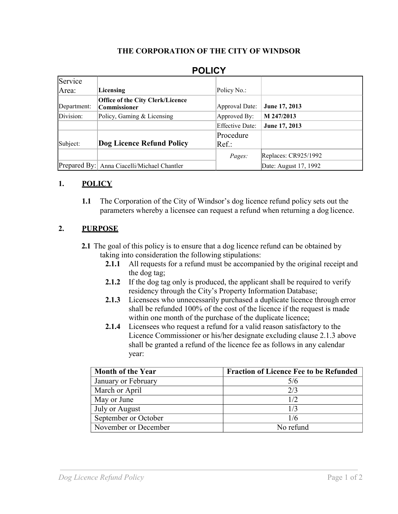#### **THE CORPORATION OF THE CITY OF WINDSOR**

| Service     |                                                         |                        |                       |
|-------------|---------------------------------------------------------|------------------------|-----------------------|
| Area:       | Licensing                                               | Policy No.:            |                       |
| Department: | <b>Office of the City Clerk/Licence</b><br>Commissioner | Approval Date:         | June 17, 2013         |
| Division:   | Policy, Gaming & Licensing                              | Approved By:           | M 247/2013            |
|             |                                                         | <b>Effective Date:</b> | June 17, 2013         |
|             |                                                         | Procedure              |                       |
| Subject:    | Dog Licence Refund Policy                               | $Ref.$ :               |                       |
|             |                                                         | Pages:                 | Replaces: CR925/1992  |
|             | Prepared By:   Anna Ciacelli/Michael Chantler           |                        | Date: August 17, 1992 |

# **POLICY**

### **1. POLICY**

**1.1** The Corporation of the City of Windsor's dog licence refund policy sets out the parameters whereby a licensee can request a refund when returning a dog licence.

### **2. PURPOSE**

- **2.1** The goal of this policy is to ensure that a dog licence refund can be obtained by taking into consideration the following stipulations:
	- **2.1.1** All requests for a refund must be accompanied by the original receipt and the dog tag;
	- **2.1.2** If the dog tag only is produced, the applicant shall be required to verify residency through the City's Property Information Database;
	- **2.1.3** Licensees who unnecessarily purchased a duplicate licence through error shall be refunded 100% of the cost of the licence if the request is made within one month of the purchase of the duplicate licence;
	- **2.1.4** Licensees who request a refund for a valid reason satisfactory to the Licence Commissioner or his/her designate excluding clause 2.1.3 above shall be granted a refund of the licence fee as follows in any calendar year:

| <b>Month of the Year</b> | <b>Fraction of Licence Fee to be Refunded</b> |
|--------------------------|-----------------------------------------------|
| January or February      | 5/6                                           |
| March or April           | 2/3                                           |
| May or June              | 1/2                                           |
| July or August           | 1/3                                           |
| September or October     | 1/6                                           |
| November or December     | No refund                                     |